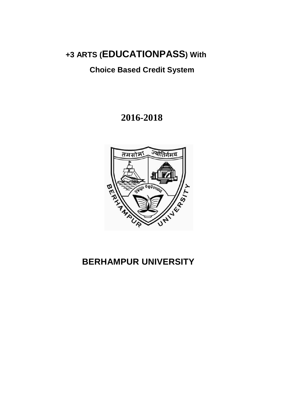# **+3 ARTS (EDUCATIONPASS) With**

# **Choice Based Credit System**

# **2016-2018**



# **BERHAMPUR UNIVERSITY**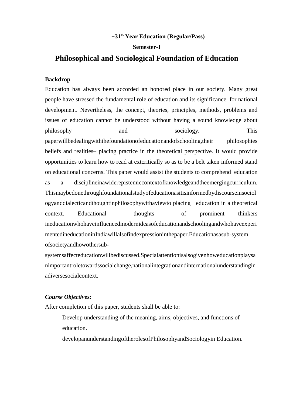# **+31st Year Education (Regular/Pass)**

#### **Semester-I**

# **Philosophical and Sociological Foundation of Education**

## **Backdrop**

Education has always been accorded an honored place in our society. Many great people have stressed the fundamental role of education and its significance for national development. Nevertheless, the concept, theories, principles, methods, problems and issues of education cannot be understood without having a sound knowledge about philosophy and and sociology. This paperwillbedealingwiththefoundationofeducationandofschooling,their philosophies beliefs and realities– placing practice in the theoretical perspective. It would provide opportunities to learn how to read at extcritically so as to be a belt taken informed stand on educational concerns. This paper would assist the students to comprehend education as a disciplineinawiderepistemiccontextofknowledgeandtheemergingcurriculum. Thismaybedonethroughfoundationalstudyofeducationasitisinformedbydiscourseinsociol ogyanddialecticandthoughtinphilosophywithaviewto placing education in a theoretical context. Educational thoughts of prominent thinkers ineducationwhohaveinfluencedmodernideasofeducationandschoolingandwhohaveexperi mentedineducationinIndiawillalsofindexpressioninthepaper.Educationasasub-system ofsocietyandhowothersub-

systemsaffecteducationwillbediscussed.Specialattentionisalsogivenhoweducationplaysa nimportantroletowardssocialchange,nationalintegrationandinternationalunderstandingin adiversesocialcontext.

## *Course Objectives:*

After completion of this paper, students shall be able to:

Develop understanding of the meaning, aims, objectives, and functions of education.

developanunderstandingoftherolesofPhilosophyandSociologyin Education.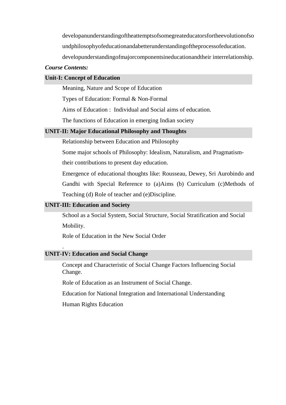developanunderstandingoftheattemptsofsomegreateducatorsfortheevolutionofso undphilosophyofeducationandabetterunderstandingoftheprocessofeducation. developunderstandingofmajorcomponentsineducationandtheir interrelationship.

#### *Course Contents:*

#### **Unit-I: Concept of Education**

Meaning, Nature and Scope of Education

Types of Education: Formal & Non-Formal

Aims of Education : Individual and Social aims of education.

The functions of Education in emerging Indian society

### **UNIT-II: Major Educational Philosophy and Thoughts**

Relationship between Education and Philosophy

Some major schools of Philosophy: Idealism, Naturalism, and Pragmatism-

their contributions to present day education.

Emergence of educational thoughts like: Rousseau, Dewey, Sri Aurobindo and Gandhi with Special Reference to (a)Aims (b) Curriculum (c)Methods of Teaching (d) Role of teacher and (e)Discipline.

#### **UNIT-III: Education and Society**

.

School as a Social System, Social Structure, Social Stratification and Social Mobility.

Role of Education in the New Social Order

### **UNIT-IV: Education and Social Change**

Concept and Characteristic of Social Change Factors Influencing Social Change.

Role of Education as an Instrument of Social Change.

Education for National Integration and International Understanding

Human Rights Education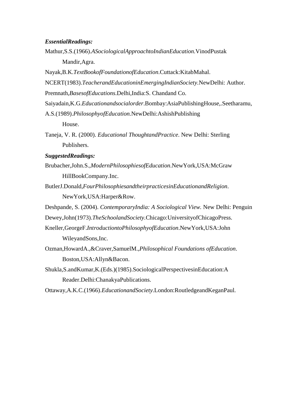#### *EssentialReadings:*

- Mathur,S.S.(1966).*ASociologicalApproachtoIndianEducation.*VinodPustak Mandir,Agra.
- Nayak,B.K.*TextBookofFoundationofEducation*.Cuttack:KitabMahal.
- NCERT(1983).*TeacherandEducationinEmergingIndianSociety.*NewDelhi: Author.
- Premnath,*BasesofEducations*.Delhi,India:S. Chandand Co.
- Saiyadain,K.G.*Educationandsocialorder*.Bombay:AsiaPublishingHouse,.Seetharamu,
- A.S.(1989).*PhilosophyofEducation.*NewDelhi:AshishPublishing House.
- Taneja, V. R. (2000). *Educational ThoughtandPractice*. New Delhi: Sterling Publishers.

# *SuggestedReadings:*

- Brubacher,John.S.,*ModernPhilosophiesofEducation*.NewYork,USA:McGraw HillBookCompany.Inc.
- ButlerJ.Donald,*FourPhilosophiesandtheirpracticesinEducationandReligion*. NewYork,USA:Harper&Row.
- Deshpande, S. (2004). *ContemporaryIndia: A Sociological View.* New Delhi: Penguin
- Dewey,John(1973).*TheSchoolandSociety.*Chicago:UniversityofChicagoPress.
- Kneller,GeorgeF.*IntroductiontoPhilosophyofEducation*.NewYork,USA:John WileyandSons,Inc.
- Ozman,HowardA.,&Craver,SamuelM.,*Philosophical Foundations ofEducation*. Boston,USA:Allyn&Bacon.
- Shukla,S.andKumar,K.(Eds.)(1985).SociologicalPerspectivesinEducation:A Reader.Delhi:ChanakyaPublications.

Ottaway,A.K.C.(1966).*EducationandSociety*.London:RoutledgeandKeganPaul.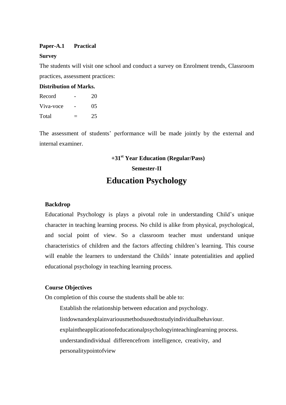#### **Paper-A.1 Practical**

#### **Survey**

The students will visit one school and conduct a survey on Enrolment trends, Classroom practices, assessment practices:

#### **Distribution of Marks.**

| Record    | 20 |
|-----------|----|
| Viva-voce | 05 |
| Total     | 25 |

The assessment of students' performance will be made jointly by the external and internal examiner.

# **+31st Year Education (Regular/Pass)**

#### **Semester-II**

# **Education Psychology**

### **Backdrop**

Educational Psychology is plays a pivotal role in understanding Child's unique character in teaching learning process. No child is alike from physical, psychological, and social point of view. So a classroom teacher must understand unique characteristics of children and the factors affecting children's learning. This course will enable the learners to understand the Childs' innate potentialities and applied educational psychology in teaching learning process.

#### **Course Objectives**

On completion of this course the students shall be able to:

Establish the relationship between education and psychology. listdownandexplainvariousmethodsusedtostudyindividualbehaviour. explaintheapplicationofeducationalpsychologyinteachinglearning process. understandindividual differencefrom intelligence, creativity, and personalitypointofview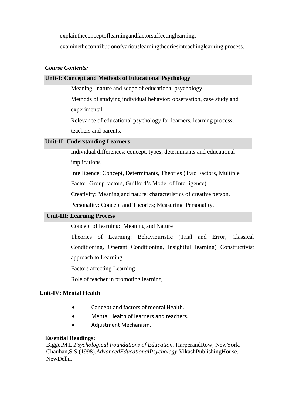explaintheconceptoflearningandfactorsaffectinglearning.

examinethecontributionofvariouslearningtheoriesinteachinglearning process.

# *Course Contents:*

# **Unit-I: Concept and Methods of Educational Psychology**

Meaning, nature and scope of educational psychology.

Methods of studying individual behavior: observation, case study and experimental.

Relevance of educational psychology for learners, learning process, teachers and parents.

# **Unit-II: Understanding Learners**

Individual differences: concept, types, determinants and educational implications

Intelligence: Concept, Determinants, Theories (Two Factors, Multiple

Factor, Group factors, Guilford's Model of Intelligence).

Creativity: Meaning and nature; characteristics of creative person.

Personality: Concept and Theories; Measuring Personality.

# **Unit-III: Learning Process**

Concept of learning: Meaning and Nature

Theories of Learning: Behaviouristic (Trial and Error, Classical Conditioning, Operant Conditioning, Insightful learning) Constructivist approach to Learning.

Factors affecting Learning

Role of teacher in promoting learning

# **Unit-IV: Mental Health**

- Concept and factors of mental Health.
- Mental Health of learners and teachers.
- Adjustment Mechanism.

# **Essential Readings:**

Bigge,M.L.*Psychological Foundations of Education*. HarperandRow, NewYork. Chauhan,S.S.(1998).*AdvancedEducationalPsychology*.VikashPublishingHouse, NewDelhi.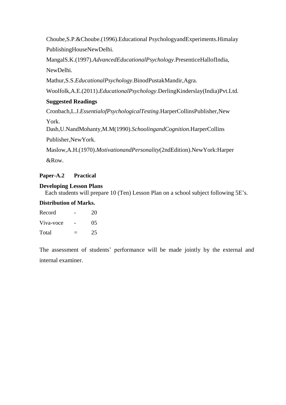Choube,S.P.&Choube.(1996).Educational PsychologyandExperiments.Himalay PublishingHouseNewDelhi.

MangalS.K.(1997).*AdvancedEducationalPsychology*.PresenticeHallofIndia, NewDelhi.

Mathur,S.S.*EducationalPsychology*.BinodPustakMandir,Agra.

Woolfolk,A.E.(2011).*EducationalPsychology*.DerlingKinderslay(India)Pvt.Ltd.

# **Suggested Readings**

Cronbach,L.J.*EssentialofPsychologicalTesting*.HarperCollinsPublisher,New

York.

Dash,U.NandMohanty,M.M(1990).*SchoolingandCognition*.HarperCollins Publisher,NewYork.

Maslow,A.H.(1970).*MotivationandPersonality*(2ndEdition).NewYork:Harper &Row.

# **Paper-A.2 Practical**

# **Developing Lesson Plans**

Each students will prepare 10 (Ten) Lesson Plan on a school subject following 5E's.

# **Distribution of Marks.**

| Record    | 20 |
|-----------|----|
| Viva-voce | 05 |
| Total     | 25 |

The assessment of students' performance will be made jointly by the external and internal examiner.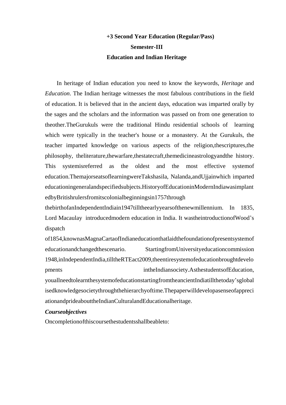# **+3 Second Year Education (Regular/Pass) Semester-III Education and Indian Heritage**

In heritage of Indian education you need to know the keywords, *Heritage* and *Education*. The Indian heritage witnesses the most fabulous contributions in the field of education. It is believed that in the ancient days, education was imparted orally by the sages and the scholars and the information was passed on from one generation to theother.TheGurukuls were the traditional Hindu residential schools of learning which were typically in the teacher's house or a monastery. At the Gurukuls, the teacher imparted knowledge on various aspects of the religion,thescriptures,the philosophy, theliterature,thewarfare,thestatecraft,themedicineastrologyandthe history. This systemisreferred as the oldest and the most effective systemof education.ThemajorseatsoflearningwereTakshasila, Nalanda,andUjjainwhich imparted educationingeneralandspecifiedsubjects.HistoryofEducationinModernIndiawasimplant edbyBritishrulersfromitscolonialbeginningsin1757through

thebirthofanIndependentIndiain1947tilltheearlyyearsofthenewmillennium. In 1835, Lord Macaulay introducedmodern education in India. It wastheintroductionofWood's dispatch

of1854,knownasMagnaCartaofIndianeducationthatlaidthefoundationofpresentsystemof educationandchangedthescenario. StartingfromUniversityeducationcommission 1948,inIndependentIndia,tilltheRTEact2009,theentiresystemofeducationbroughtdevelo pments intheIndiansociety.AsthestudentsofEducation, youallneedtolearnthesystemofeducationstartingfromtheancientIndiatillthetoday'sglobal isedknowledgesocietythroughthehierarchyoftime.Thepaperwilldevelopasenseofappreci ationandprideabouttheIndianCulturalandEducationalheritage.

#### *Courseobjectives*

Oncompletionofthiscoursethestudentsshallbeableto: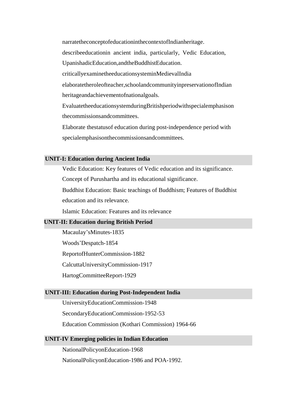narratetheconceptofeducationinthecontextofIndianheritage. describeeducationin ancient india, particularly, Vedic Education, UpanishadicEducation,andtheBuddhistEducation. criticallyexaminetheeducationsysteminMedievalIndia elaboratetheroleofteacher,schoolandcommunityinpreservationofIndian heritageandachievementofnationalgoals. EvaluatetheeducationsystemduringBritishperiodwithspecialemphasison thecommissionsandcommittees. Elaborate thestatusof education during post-independence period with

specialemphasisonthecommissionsandcommittees.

## **UNIT-I: Education during Ancient India**

Vedic Education: Key features of Vedic education and its significance. Concept of Purushartha and its educational significance.

Buddhist Education: Basic teachings of Buddhism; Features of Buddhist education and its relevance.

Islamic Education: Features and its relevance

## **UNIT-II: Education during British Period**

Macaulay'sMinutes-1835

Woods'Despatch-1854

ReportofHunterCommission-1882

CalcuttaUniversityCommission-1917

HartogCommitteeReport-1929

### **UNIT-III: Education during Post-Independent India**

UniversityEducationCommission-1948

SecondaryEducationCommission-1952-53

Education Commission (Kothari Commission) 1964-66

#### **UNIT-IV Emerging policies in Indian Education**

NationalPolicyonEducation-1968

NationalPolicyonEducation-1986 and POA-1992.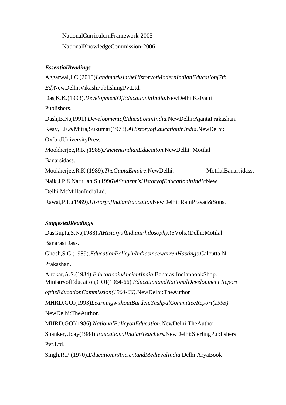NationalCurriculumFramework-2005 NationalKnowledgeCommission-2006

# *EssentialReadings*

Aggarwal,J.C.(2010)*LandmarksintheHistoryofModernIndianEducation(7th Ed)*NewDelhi:VikashPublishingPvtLtd. Das,K.K.(1993).*DevelopmentOfEducationinIndia.*NewDelhi:Kalyani Publishers. Dash,B.N.(1991).*DevelopmentofEducationinIndia.*NewDelhi:AjantaPrakashan. Keay,F.E.&Mitra,Sukumar(1978).*AHistoryofEducationinIndia.*NewDelhi: OxfordUniversityPress. Mookherjee,R.K.*(*1988).*AncientIndianEducation.*NewDelhi: Motilal Banarsidass. Mookherjee, R.K.(1989). The Gupta Empire. New Delhi: Motilal Banarsidass. Naik,J.P.&Narullah,S.(1996)*AStudent'sHistoryofEducationinIndia*New Delhi:McMillanIndiaLtd. Rawat,P.L.(1989).*HistoryofIndianEducation*NewDelhi: RamPrasad&Sons.

# *SuggestedReadings*

DasGupta,S.N.(1988).*AHistoryofIndianPhilosophy.*(5Vols.)Delhi:Motilal BanarasiDass. Ghosh,S.C.(1989).*EducationPolicyinIndiasincewarrenHastings.*Calcutta:N-Prakashan. Altekar,A.S.(1934).*EducationinAncientIndia,*Banaras:IndianbookShop. MinistryofEducation,GOI(1964-66).*EducationandNationalDevelopment.Report* 

*oftheEducationCommission(1964-66).*NewDelhi:TheAuthor

MHRD,GOI(1993)*LearningwithoutBurden*.*YashpalCommitteeReport(1993).* NewDelhi:TheAuthor.

MHRD,GOI(1986).*NationalPolicyonEducation*.NewDelhi:TheAuthor Shanker,Uday(1984).*EducationofIndianTeachers.*NewDelhi:SterlingPublishers Pvt.Ltd.

Singh.R.P.(1970).*EducationinAncientandMedievalIndia.*Delhi:AryaBook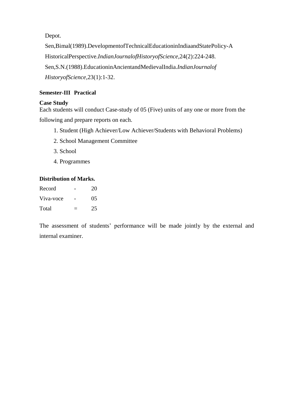Depot.

Sen,Bimal(1989).DevelopmentofTechnicalEducationinIndiaandStatePolicy-A HistoricalPerspective.*IndianJournalofHistoryofScience*,24(2):224-248. Sen,S.N.(1988).EducationinAncientandMedievalIndia.*IndianJournalof HistoryofScience*,23(1):1-32.

# **Semester-III Practical**

# **Case Study**

Each students will conduct Case-study of 05 (Five) units of any one or more from the following and prepare reports on each.

- 1. Student (High Achiever/Low Achiever/Students with Behavioral Problems)
- 2. School Management Committee
- 3. School
- 4. Programmes

# **Distribution of Marks.**

| Record    | 20 |
|-----------|----|
| Viva-voce | 05 |
| Total     | 25 |

The assessment of students' performance will be made jointly by the external and internal examiner.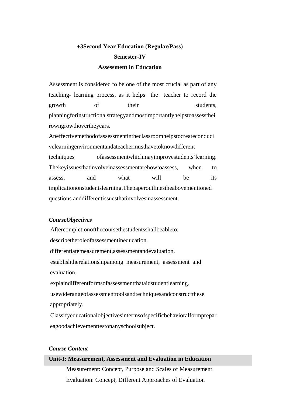# **+3Second Year Education (Regular/Pass) Semester-IV Assessment in Education**

Assessment is considered to be one of the most crucial as part of any teaching- learning process, as it helps the teacher to record the growth of their students, planningforinstructionalstrategyandmostimportantlyhelpstoassessthei rowngrowthovertheyears.

Aneffectivemethodofassessmentintheclassroomhelpstocreateconduci velearningenvironmentandateachermusthavetoknowdifferent techniques ofassessmentwhichmayimprovestudents'learning. Thekeyissuesthatinvolveinassessmentarehowtoassess, when to assess, and what will be its implicationonstudentslearning.Thepaperoutlinestheabovementioned questions anddifferentissuesthatinvolvesinassessment.

# *CourseObjectives*

Aftercompletionofthecoursethestudentsshallbeableto: describetheroleofassessmentineducation. differentiatemeasurement,assessmentandevaluation. establishtherelationshipamong measurement, assessment and evaluation. explaindifferentformsofassessmentthataidstudentlearning. usewiderangeofassessmenttoolsandtechniquesandconstructthese

appropriately.

Classifyeducationalobjectivesintermsofspecificbehavioralformprepar eagoodachievementtestonanyschoolsubject.

# *Course Content*

#### **Unit-I: Measurement, Assessment and Evaluation in Education**

Measurement: Concept, Purpose and Scales of Measurement Evaluation: Concept, Different Approaches of Evaluation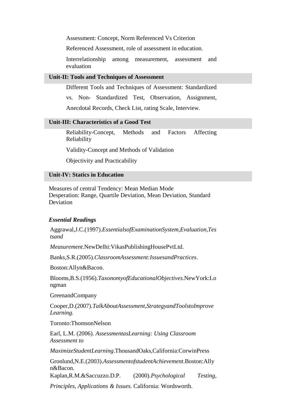Assessment: Concept, Norm Referenced Vs Criterion

Referenced Assessment, role of assessment in education.

Interrelationship among measurement, assessment and evaluation

### **Unit-II: Tools and Techniques of Assessment**

Different Tools and Techniques of Assessment: Standardized

vs. Non- Standardized Test, Observation, Assignment,

Anecdotal Records, Check List, rating Scale, Interview.

#### **Unit-III: Characteristics of a Good Test**

Reliability-Concept, Methods and Factors Affecting Reliability

Validity-Concept and Methods of Validation

Objectivity and Practicability

#### **Unit-IV: Statics in Education**

Measures of central Tendency: Mean Median Mode Desperation: Range, Quartile Deviation, Mean Deviation, Standard Deviation

#### *Essential Readings*

Aggrawal,J.C.(1997).*EssentialsofExaminationSystem,Evaluation,Tes tsand*

*Measurement*.NewDelhi:VikasPublishingHousePvtLtd.

Banks,S.R.(2005).*ClassroomAssessment:IssuesandPractices*.

Boston:Allyn&Bacon.

Blooms,B.S.(1956).*TaxonomyofEducationalObjectives*.NewYork:Lo ngman

GreenandCompany

Cooper,D.(2007).*TalkAboutAssessment,StrategyandToolstoImprove Learning.*

Toronto:ThomsonNelson

Earl, L.M. (2006). *AssessmentasLearning: Using Classroom Assessment to*

*MaximizeStudentLearning*.ThousandOaks,California:CorwinPress

Gronlund,N.E.(2003).*AssessmentofstudentAchievement*.Boston:Ally n&Bacon.

Kaplan,R.M.&Saccuzzo.D.P. (2000).*Psychological Testing,* 

*Principles, Applications & Issues.* California: Wordsworth.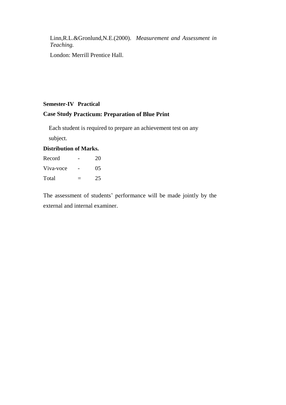Linn,R.L.&Gronlund,N.E.(2000). *Measurement and Assessment in Teaching.*

London: Merrill Prentice Hall.

# **Semester-IV Practical**

# **Case Study Practicum: Preparation of Blue Print**

Each student is required to prepare an achievement test on any subject.

# **Distribution of Marks.**

| Record    | 20 |
|-----------|----|
| Viva-voce | 05 |
| Total     | 25 |

The assessment of students' performance will be made jointly by the external and internal examiner.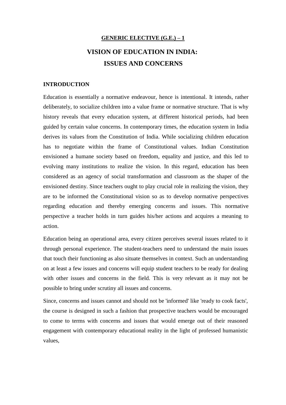# **GENERIC ELECTIVE (G.E.) – 1 VISION OF EDUCATION IN INDIA: ISSUES AND CONCERNS**

#### **INTRODUCTION**

Education is essentially a normative endeavour, hence is intentional. It intends, rather deliberately, to socialize children into a value frame or normative structure. That is why history reveals that every education system, at different historical periods, had been guided by certain value concerns. In contemporary times, the education system in India derives its values from the Constitution of India. While socializing children education has to negotiate within the frame of Constitutional values. Indian Constitution envisioned a humane society based on freedom, equality and justice, and this led to evolving many institutions to realize the vision. In this regard, education has been considered as an agency of social transformation and classroom as the shaper of the envisioned destiny. Since teachers ought to play crucial role in realizing the vision, they are to be informed the Constitutional vision so as to develop normative perspectives regarding education and thereby emerging concerns and issues. This normative perspective a teacher holds in turn guides his/her actions and acquires a meaning to action.

Education being an operational area, every citizen perceives several issues related to it through personal experience. The student-teachers need to understand the main issues that touch their functioning as also situate themselves in context. Such an understanding on at least a few issues and concerns will equip student teachers to be ready for dealing with other issues and concerns in the field. This is very relevant as it may not be possible to bring under scrutiny all issues and concerns.

Since, concerns and issues cannot and should not be 'informed' like 'ready to cook facts', the course is designed in such a fashion that prospective teachers would be encouraged to come to terms with concerns and issues that would emerge out of their reasoned engagement with contemporary educational reality in the light of professed humanistic values,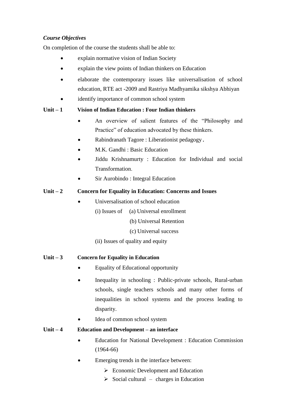# *Course Objectives*

On completion of the course the students shall be able to:

- explain normative vision of Indian Society
- explain the view points of Indian thinkers on Education
- elaborate the contemporary issues like universalisation of school education, RTE act -2009 and Rastriya Madhyamika sikshya Abhiyan
- identify importance of common school system

# **Unit – 1 Vision of Indian Education : Four Indian thinkers**

- An overview of salient features of the "Philosophy and Practice" of education advocated by these thinkers.
- Rabindranath Tagore : Liberationist pedagogy.
- M.K. Gandhi : Basic Education
- Jiddu Krishnamurty : Education for Individual and social Transformation
- Sir Aurobindo : Integral Education

## **Unit – 2 Concern for Equality in Education: Concerns and Issues**

- Universalisation of school education
	- $(i)$  Issues of  $(i)$  Universal enrollment
		- (b) Universal Retention
		- (c) Universal success
	- (ii) Issues of quality and equity

#### **Unit – 3 Concern for Equality in Education**

- Equality of Educational opportunity
- Inequality in schooling : Public-private schools, Rural-urban schools, single teachers schools and many other forms of inequalities in school systems and the process leading to disparity.
- Idea of common school system

### **Unit – 4 Education and Development – an interface**

- Education for National Development : Education Commission (1964-66)
- Emerging trends in the interface between:
	- $\triangleright$  Economic Development and Education
	- $\triangleright$  Social cultural charges in Education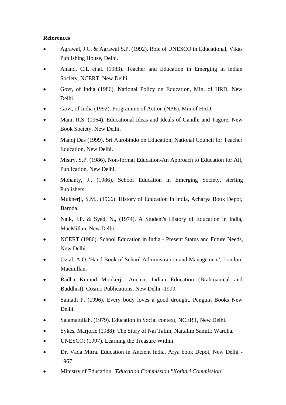# **References**

- Agrawal, J.C. & Agrawal S.P. (1992). Role of UNESCO in Educational, Vikas Publishing House, Delhi.
- Anand, C.L et.al. (1983). Teacher and Education in Emerging in indian Society, NCERT, New Delhi.
- Govt, of India (1986). National Policy on Education, Min. of HRD, New Delhi.
- Govt, of India (1992). Programme of Action (NPE). Min of HRD,
- Mani, R.S. (1964). Educational Ideas and Ideals of Gandhi and Tagore, New Book Society, New Delhi.
- Manoj Das (1999). Sri Aurobindo on Education, National Council for Teacher Education, New Delhi.
- Mistry, S.P. (1986). Non-formal Education-An Approach to Education for All, Publication, New Delhi.
- Mohanty, J., (1986). School Education in Emerging Society, sterling Publishers.
- Mukherji, S.M., (1966). History of Education in India, Acharya Book Depot, Baroda.
- Naik, J.P. & Syed, N., (1974). A Student's History of Education in India, MacMillan, New Delhi.
- NCERT (1986). School Education in India Present Status and Future Needs, New Delhi.
- Ozial, A.O. 'Hand Book of School Administration and Management', London, Macmillan.
- Radha Kumud Mookerji. Ancient Indian Education (Brahmanical and Buddhist), Cosmo Publications, New Delhi -1999.
- Sainath P. (1996). Every body loves a good drought. Penguin Books New Delhi.
- Salamatullah, (1979). Education in Social context, NCERT, New Delhi.
- Sykes, Marjorie (1988): The Story of Nai Talim, Naitalim Samiti: Wardha.
- UNESCO; (1997). Learning the Treasure Within.
- Dr. Vada Mitra. Education in Ancient India, Arya book Depot, New Delhi 1967
- Ministry of Education. *'Education Commission "Kothari Commission".*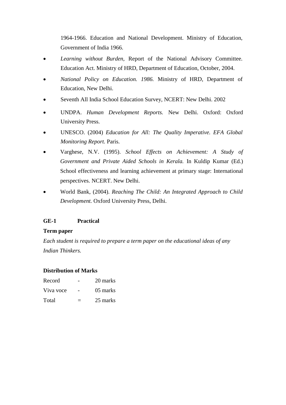1964-1966. Education and National Development. Ministry of Education, Government of India 1966.

- *Learning without Burden,* Report of the National Advisory Committee. Education Act. Ministry of HRD, Department of Education, October, 2004.
- *National Policy on Education. 1986.* Ministry of HRD, Department of Education, New Delhi.
- Seventh All India School Education Survey, NCERT: New Delhi. 2002
- UNDPA. *Human Development Reports.* New Delhi. Oxford: Oxford University Press.
- UNESCO. (2004) *Education for All: The Quality Imperative. EFA Global Monitoring Report.* Paris.
- Varghese, N.V. (1995). *School Effects on Achievement: A Study of Government and Private Aided Schools in Kerala.* In Kuldip Kumar (Ed.) School effectiveness and learning achievement at primary stage: International perspectives. NCERT. New Delhi.
- World Bank, (2004). *Reaching The Child: An Integrated Approach to Child Development.* Oxford University Press, Delhi.

# **GE-1 Practical**

#### **Term paper**

*Each student is required to prepare a term paper on the educational ideas of any Indian Thinkers.*

#### **Distribution of Marks**

| Record    | 20 marks |
|-----------|----------|
| Viva voce | 05 marks |
| Total     | 25 marks |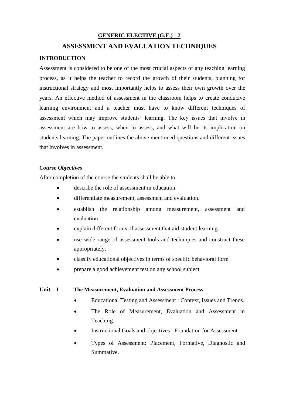# **GENERIC ELECTIVE (G.E.) - 2**

# **ASSESSMENT AND EVALUATION TECHNIQUES**

# **INTRODUCTION**

Assessment is considered to be one of the most crucial aspects of any teaching learning process, as it helps the teacher to record the growth of their students, planning for instructional strategy and most importantly helps to assess their own growth over the years. An effective method of assessment in the classroom helps to create conducive learning environment and a teacher must have to know different techniques of assessment which may improve students' learning. The key issues that involve in assessment are how to assess, when to assess, and what will be its implication on students learning. The paper outlines the above mentioned questions and different issues that involves in assessment.

#### *Course Objectives*

After completion of the course the students shall be able to:

- describe the role of assessment in education.
- differentiate measurement, assessment and evaluation.
- establish the relationship among measurement, assessment and evaluation.
- explain different forms of assessment that aid student learning.
- use wide range of assessment tools and techniques and construct these appropriately.
- classify educational objectives in terms of specific behavioral form
- prepare a good achievement test on any school subject

#### **Unit – 1 The Measurement, Evaluation and Assessment Process**

- Educational Testing and Assessment : Context, Issues and Trends.
- The Role of Measurement, Evaluation and Assessment in Teaching.
- Instructional Goals and objectives : Foundation for Assessment.
- Types of Assessment: Placement, Formative, Diagnostic and Summative.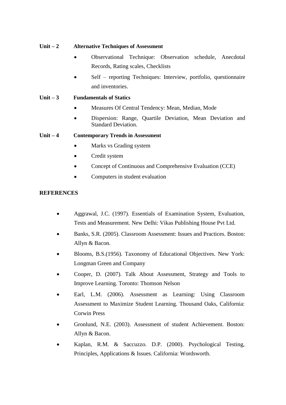# **Unit – 2 Alternative Techniques of Assessment**

- Observational Technique: Observation schedule, Anecdotal Records, Rating scales, Checklists
- Self reporting Techniques: Interview, portfolio, questionnaire and inventories.

# **Unit – 3 Fundamentals of Statics**

- Measures Of Central Tendency: Mean, Median, Mode
- Dispersion: Range, Quartile Deviation, Mean Deviation and Standard Deviation.

# **Unit – 4 Contemporary Trends in Assessment**

- Marks vs Grading system
- Credit system
- Concept of Continuous and Comprehensive Evaluation (CCE)
- Computers in student evaluation

# **REFERENCES**

- Aggrawal, J.C. (1997). Essentials of Examination System, Evaluation, Tests and Measurement. New Delhi: Vikas Publishing House Pvt Ltd.
- Banks, S.R. (2005). Classroom Assessment: Issues and Practices. Boston: Allyn & Bacon.
- Blooms, B.S.(1956). Taxonomy of Educational Objectives. New York: Longman Green and Company
- Cooper, D. (2007). Talk About Assessment, Strategy and Tools to Improve Learning. Toronto: Thomson Nelson
- Earl, L.M. (2006). Assessment as Learning: Using Classroom Assessment to Maximize Student Learning. Thousand Oaks, California: Corwin Press
- Gronlund, N.E. (2003). Assessment of student Achievement. Boston: Allyn & Bacon.
- Kaplan, R.M. & Saccuzzo. D.P. (2000). Psychological Testing, Principles, Applications & Issues. California: Wordsworth.